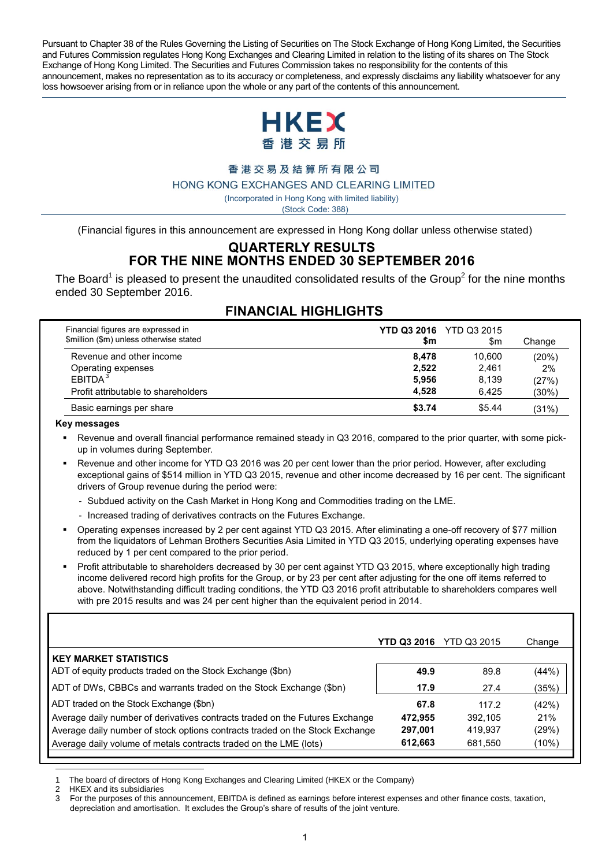Pursuant to Chapter 38 of the Rules Governing the Listing of Securities on The Stock Exchange of Hong Kong Limited, the Securities and Futures Commission regulates Hong Kong Exchanges and Clearing Limited in relation to the listing of its shares on The Stock Exchange of Hong Kong Limited. The Securities and Futures Commission takes no responsibility for the contents of this announcement, makes no representation as to its accuracy or completeness, and expressly disclaims any liability whatsoever for any loss howsoever arising from or in reliance upon the whole or any part of the contents of this announcement.



#### 香港交易及結算所有限公司

HONG KONG EXCHANGES AND CLEARING LIMITED

( Incorporated in Hong Kong with limited liability)

(Stock Code: 388)

(Financial figures in this announcement are expressed in Hong Kong dollar unless otherwise stated)

#### **QUARTERLY RESULTS FOR THE NINE MONTHS ENDED 30 SEPTEMBER 2016**

The Board<sup>1</sup> is pleased to present the unaudited consolidated results of the Group<sup>2</sup> for the nine months ended 30 September 2016.

| Financial figures are expressed in<br>\$million (\$m) unless otherwise stated | \$m    | <b>YTD Q3 2016</b> YTD Q3 2015<br>\$m | Change   |
|-------------------------------------------------------------------------------|--------|---------------------------------------|----------|
| Revenue and other income                                                      | 8.478  | 10.600                                | (20%)    |
| Operating expenses                                                            | 2,522  | 2.461                                 | 2%       |
| EBITDA <sup>3</sup>                                                           | 5.956  | 8.139                                 | (27%)    |
| Profit attributable to shareholders                                           | 4.528  | 6.425                                 | $(30\%)$ |
| Basic earnings per share                                                      | \$3.74 | \$5.44                                | (31%)    |

## **FINANCIAL HIGHLIGHTS**

#### **Key messages**

- Revenue and overall financial performance remained steady in Q3 2016, compared to the prior quarter, with some pickup in volumes during September.
- Revenue and other income for YTD Q3 2016 was 20 per cent lower than the prior period. However, after excluding exceptional gains of \$514 million in YTD Q3 2015, revenue and other income decreased by 16 per cent. The significant drivers of Group revenue during the period were:
	- Subdued activity on the Cash Market in Hong Kong and Commodities trading on the LME.
	- Increased trading of derivatives contracts on the Futures Exchange.
- Operating expenses increased by 2 per cent against YTD Q3 2015. After eliminating a one-off recovery of \$77 million from the liquidators of Lehman Brothers Securities Asia Limited in YTD Q3 2015, underlying operating expenses have reduced by 1 per cent compared to the prior period.
- Profit attributable to shareholders decreased by 30 per cent against YTD Q3 2015, where exceptionally high trading income delivered record high profits for the Group, or by 23 per cent after adjusting for the one off items referred to above. Notwithstanding difficult trading conditions, the YTD Q3 2016 profit attributable to shareholders compares well with pre 2015 results and was 24 per cent higher than the equivalent period in 2014.

|                                                                                                                                                                                                                                                                              | YTD Q3 2016                           | <b>YTD Q3 2015</b>                     | Change                            |
|------------------------------------------------------------------------------------------------------------------------------------------------------------------------------------------------------------------------------------------------------------------------------|---------------------------------------|----------------------------------------|-----------------------------------|
| <b>KEY MARKET STATISTICS</b><br>ADT of equity products traded on the Stock Exchange (\$bn)                                                                                                                                                                                   | 49.9                                  | 89.8                                   | (44%)                             |
| ADT of DWs, CBBCs and warrants traded on the Stock Exchange (\$bn)                                                                                                                                                                                                           | 17.9                                  | 27.4                                   | (35%)                             |
| ADT traded on the Stock Exchange (\$bn)<br>Average daily number of derivatives contracts traded on the Futures Exchange<br>Average daily number of stock options contracts traded on the Stock Exchange<br>Average daily volume of metals contracts traded on the LME (lots) | 67.8<br>472.955<br>297,001<br>612,663 | 117.2<br>392.105<br>419.937<br>681,550 | (42%)<br>21%<br>(29%)<br>$(10\%)$ |

1 The board of directors of Hong Kong Exchanges and Clearing Limited (HKEX or the Company)

2 HKEX and its subsidiaries<br>3 Eor the nuroses of this ar

<sup>3</sup> For the purposes of this announcement, EBITDA is defined as earnings before interest expenses and other finance costs, taxation, depreciation and amortisation. It excludes the Group's share of results of the joint venture.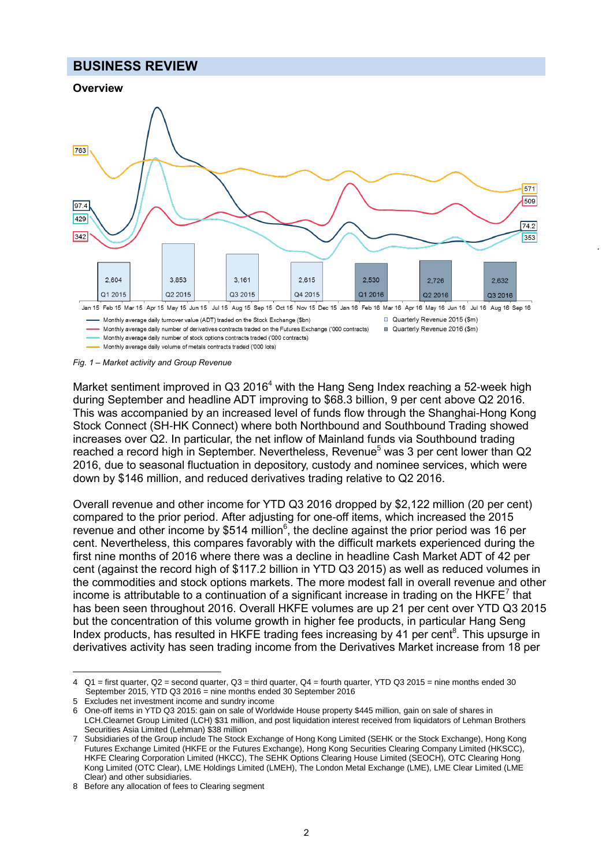#### **BUSINESS REVIEW**





Monthly average daily volume of metals contracts traded ('000 lots)

Market sentiment improved in  $Q3$  2016<sup>4</sup> with the Hang Seng Index reaching a 52-week high during September and headline ADT improving to \$68.3 billion, 9 per cent above Q2 2016. This was accompanied by an increased level of funds flow through the Shanghai-Hong Kong Stock Connect (SH-HK Connect) where both Northbound and Southbound Trading showed increases over Q2. In particular, the net inflow of Mainland funds via Southbound trading reached a record high in September. Nevertheless, Revenue<sup>5</sup> was 3 per cent lower than Q2 2016, due to seasonal fluctuation in depository, custody and nominee services, which were down by \$146 million, and reduced derivatives trading relative to Q2 2016.

Overall revenue and other income for YTD Q3 2016 dropped by \$2,122 million (20 per cent) compared to the prior period. After adjusting for one-off items, which increased the 2015 revenue and other income by \$514 million<sup>6</sup>, the decline against the prior period was 16 per cent. Nevertheless, this compares favorably with the difficult markets experienced during the first nine months of 2016 where there was a decline in headline Cash Market ADT of 42 per cent (against the record high of \$117.2 billion in YTD Q3 2015) as well as reduced volumes in the commodities and stock options markets. The more modest fall in overall revenue and other income is attributable to a continuation of a significant increase in trading on the HKFE<sup>7</sup> that has been seen throughout 2016. Overall HKFE volumes are up 21 per cent over YTD Q3 2015 but the concentration of this volume growth in higher fee products, in particular Hang Seng Index products, has resulted in HKFE trading fees increasing by 41 per cent<sup>8</sup>. This upsurge in derivatives activity has seen trading income from the Derivatives Market increase from 18 per

 $\overline{a}$ 

*Fig. 1 – Market activity and Group Revenue*

<sup>4</sup> Q1 = first quarter, Q2 = second quarter, Q3 = third quarter, Q4 = fourth quarter, YTD Q3 2015 = nine months ended 30 September 2015, YTD Q3 2016 = nine months ended 30 September 2016

<sup>5</sup> Excludes net investment income and sundry income

<sup>6</sup> One-off items in YTD Q3 2015: gain on sale of Worldwide House property \$445 million, gain on sale of shares in LCH.Clearnet Group Limited (LCH) \$31 million, and post liquidation interest received from liquidators of Lehman Brothers Securities Asia Limited (Lehman) \$38 million

<sup>7</sup> Subsidiaries of the Group include The Stock Exchange of Hong Kong Limited (SEHK or the Stock Exchange), Hong Kong Futures Exchange Limited (HKFE or the Futures Exchange), Hong Kong Securities Clearing Company Limited (HKSCC), HKFE Clearing Corporation Limited (HKCC), The SEHK Options Clearing House Limited (SEOCH), OTC Clearing Hong Kong Limited (OTC Clear), LME Holdings Limited (LMEH), The London Metal Exchange (LME), LME Clear Limited (LME Clear) and other subsidiaries.

<sup>8</sup> Before any allocation of fees to Clearing segment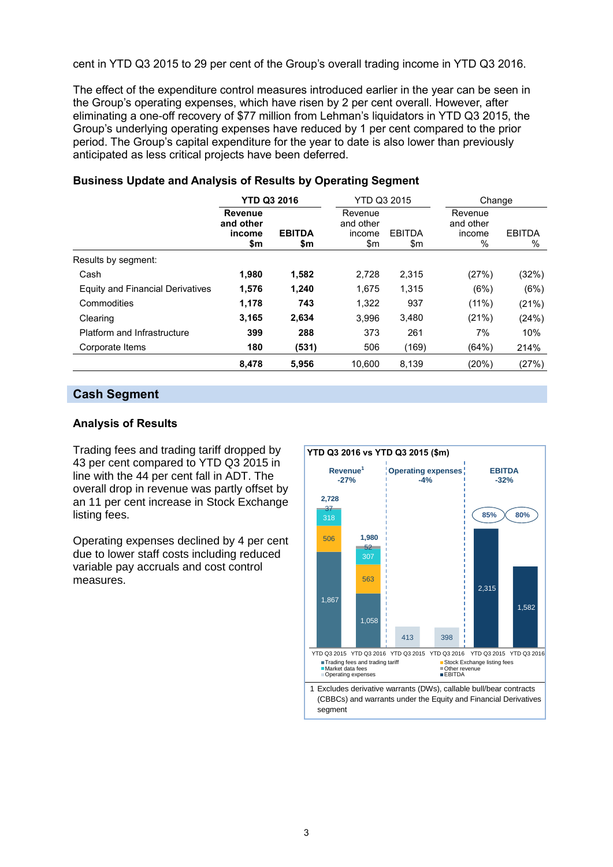cent in YTD Q3 2015 to 29 per cent of the Group's overall trading income in YTD Q3 2016.

The effect of the expenditure control measures introduced earlier in the year can be seen in the Group's operating expenses, which have risen by 2 per cent overall. However, after eliminating a one-off recovery of \$77 million from Lehman's liquidators in YTD Q3 2015, the Group's underlying operating expenses have reduced by 1 per cent compared to the prior period. The Group's capital expenditure for the year to date is also lower than previously anticipated as less critical projects have been deferred.

|                                  | <b>YTD Q3 2016</b>                    |                      | YTD Q3 2015                           |                      | Change                              |                    |
|----------------------------------|---------------------------------------|----------------------|---------------------------------------|----------------------|-------------------------------------|--------------------|
|                                  | Revenue<br>and other<br>income<br>\$m | <b>EBITDA</b><br>\$m | Revenue<br>and other<br>income<br>\$m | <b>EBITDA</b><br>\$m | Revenue<br>and other<br>income<br>% | <b>EBITDA</b><br>% |
| Results by segment:              |                                       |                      |                                       |                      |                                     |                    |
| Cash                             | 1,980                                 | 1,582                | 2,728                                 | 2.315                | (27%)                               | (32%)              |
| Equity and Financial Derivatives | 1,576                                 | 1,240                | 1.675                                 | 1.315                | (6%)                                | (6%)               |
| Commodities                      | 1.178                                 | 743                  | 1.322                                 | 937                  | (11%)                               | (21%)              |
| Clearing                         | 3.165                                 | 2.634                | 3,996                                 | 3.480                | (21%)                               | (24%)              |
| Platform and Infrastructure      | 399                                   | 288                  | 373                                   | 261                  | 7%                                  | 10%                |
| Corporate Items                  | 180                                   | (531)                | 506                                   | (169)                | (64%)                               | 214%               |
|                                  | 8,478                                 | 5,956                | 10,600                                | 8,139                | (20%)                               | (27%)              |

#### **Business Update and Analysis of Results by Operating Segment**

#### **Cash Segment**

#### **Analysis of Results**

Trading fees and trading tariff dropped by 43 per cent compared to YTD Q3 2015 in line with the 44 per cent fall in ADT. The overall drop in revenue was partly offset by an 11 per cent increase in Stock Exchange listing fees.

Operating expenses declined by 4 per cent due to lower staff costs including reduced variable pay accruals and cost control measures.

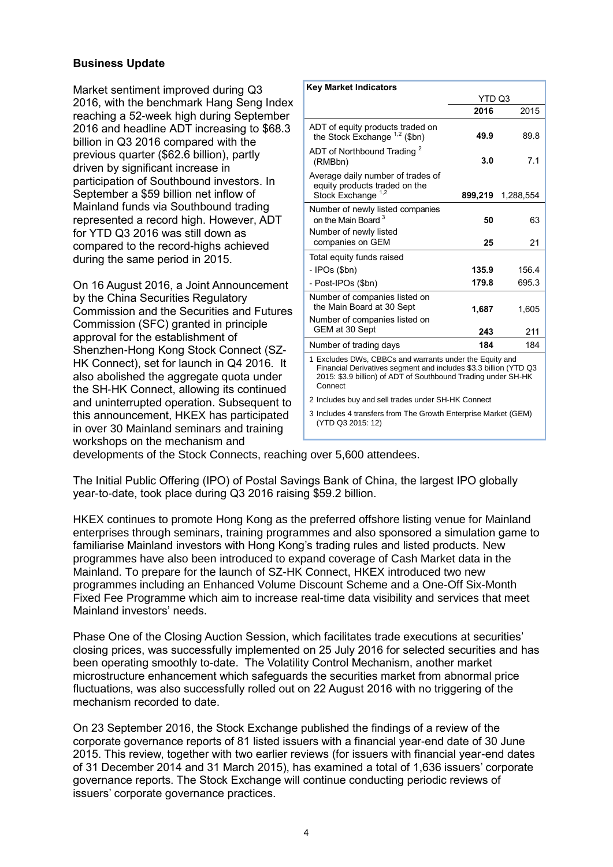#### **Business Update**

Market sentiment improved during Q3 2016, with the benchmark Hang Seng Index reaching a 52-week high during September 2016 and headline ADT increasing to \$68.3 billion in Q3 2016 compared with the previous quarter (\$62.6 billion), partly driven by significant increase in participation of Southbound investors. In September a \$59 billion net inflow of Mainland funds via Southbound trading represented a record high. However, ADT for YTD Q3 2016 was still down as compared to the record-highs achieved during the same period in 2015.

On 16 August 2016, a Joint Announcement by the China Securities Regulatory Commission and the Securities and Futures Commission (SFC) granted in principle approval for the establishment of Shenzhen-Hong Kong Stock Connect (SZ-HK Connect), set for launch in Q4 2016. It also abolished the aggregate quota under the SH-HK Connect, allowing its continued and uninterrupted operation. Subsequent to this announcement, HKEX has participated in over 30 Mainland seminars and training workshops on the mechanism and

| <b>Key Market Indicators</b>                                                                                                                                                                            |              |                   |  |  |
|---------------------------------------------------------------------------------------------------------------------------------------------------------------------------------------------------------|--------------|-------------------|--|--|
|                                                                                                                                                                                                         | YTD Q3       |                   |  |  |
|                                                                                                                                                                                                         | 2016         | 2015              |  |  |
| ADT of equity products traded on<br>the Stock Exchange <sup>1,2</sup> (\$bn)                                                                                                                            | 49.9         | 89.8              |  |  |
| ADT of Northbound Trading <sup>2</sup><br>(RMBbn)                                                                                                                                                       | 3.0          | 7.1               |  |  |
| Average daily number of trades of<br>equity products traded on the<br>Stock Exchange <sup>1,2</sup>                                                                                                     |              | 899,219 1.288,554 |  |  |
| Number of newly listed companies<br>on the Main Board <sup>3</sup><br>Number of newly listed                                                                                                            | 50           | 63                |  |  |
| companies on GEM                                                                                                                                                                                        | 25           | 21                |  |  |
| Total equity funds raised                                                                                                                                                                               |              |                   |  |  |
| - IPOs (\$bn)                                                                                                                                                                                           | 135.9        | 156.4             |  |  |
| - Post-IPOs (\$bn)                                                                                                                                                                                      | 179.8        | 695.3             |  |  |
| Number of companies listed on<br>the Main Board at 30 Sept<br>Number of companies listed on<br>GEM at 30 Sept                                                                                           | 1,687<br>243 | 1,605<br>211      |  |  |
| Number of trading days                                                                                                                                                                                  | 184          | 184               |  |  |
| 1 Excludes DWs, CBBCs and warrants under the Equity and<br>Financial Derivatives segment and includes \$3.3 billion (YTD Q3<br>2015: \$3.9 billion) of ADT of Southbound Trading under SH-HK<br>Connect |              |                   |  |  |
| 2 Includes buy and sell trades under SH-HK Connect                                                                                                                                                      |              |                   |  |  |

3 Includes 4 transfers from The Growth Enterprise Market (GEM) (YTD Q3 2015: 12)

developments of the Stock Connects, reaching over 5,600 attendees.

The Initial Public Offering (IPO) of Postal Savings Bank of China, the largest IPO globally year-to-date, took place during Q3 2016 raising \$59.2 billion.

HKEX continues to promote Hong Kong as the preferred offshore listing venue for Mainland enterprises through seminars, training programmes and also sponsored a simulation game to familiarise Mainland investors with Hong Kong's trading rules and listed products. New programmes have also been introduced to expand coverage of Cash Market data in the Mainland. To prepare for the launch of SZ-HK Connect, HKEX introduced two new programmes including an Enhanced Volume Discount Scheme and a One-Off Six-Month Fixed Fee Programme which aim to increase real-time data visibility and services that meet Mainland investors' needs.

Phase One of the Closing Auction Session, which facilitates trade executions at securities' closing prices, was successfully implemented on 25 July 2016 for selected securities and has been operating smoothly to-date. The Volatility Control Mechanism, another market microstructure enhancement which safeguards the securities market from abnormal price fluctuations, was also successfully rolled out on 22 August 2016 with no triggering of the mechanism recorded to date.

On 23 September 2016, the Stock Exchange published the findings of a review of the corporate governance reports of 81 listed issuers with a financial year-end date of 30 June 2015. This review, together with two earlier reviews (for issuers with financial year-end dates of 31 December 2014 and 31 March 2015), has examined a total of 1,636 issuers' corporate governance reports. The Stock Exchange will continue conducting periodic reviews of issuers' corporate governance practices.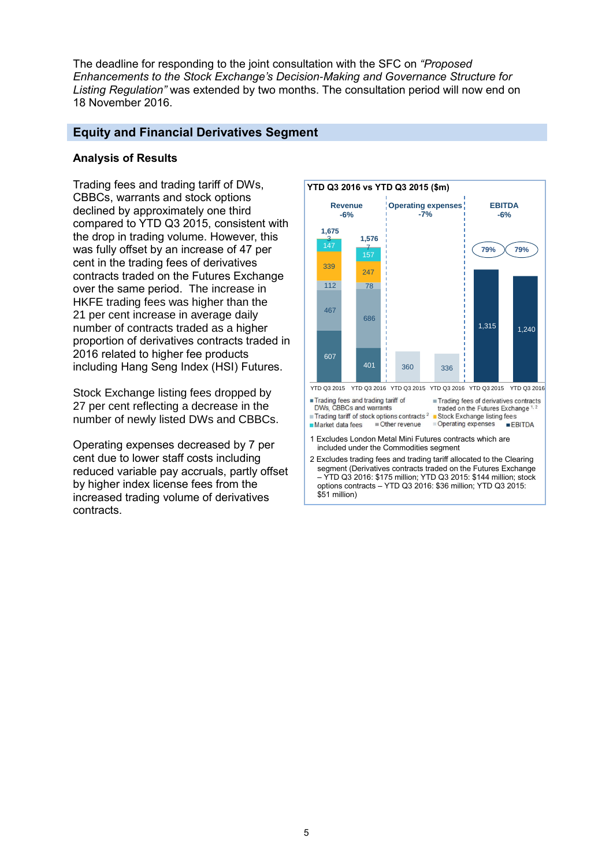The deadline for responding to the joint consultation with the SFC on *"Proposed Enhancements to the Stock Exchange's Decision-Making and Governance Structure for Listing Regulation"* was extended by two months. The consultation period will now end on 18 November 2016.

#### **Equity and Financial Derivatives Segment**

#### **Analysis of Results**

Trading fees and trading tariff of DWs, CBBCs, warrants and stock options declined by approximately one third compared to YTD Q3 2015, consistent with the drop in trading volume. However, this was fully offset by an increase of 47 per cent in the trading fees of derivatives contracts traded on the Futures Exchange over the same period. The increase in HKFE trading fees was higher than the 21 per cent increase in average daily number of contracts traded as a higher proportion of derivatives contracts traded in 2016 related to higher fee products including Hang Seng Index (HSI) Futures.

Stock Exchange listing fees dropped by 27 per cent reflecting a decrease in the number of newly listed DWs and CBBCs.

Operating expenses decreased by 7 per cent due to lower staff costs including reduced variable pay accruals, partly offset by higher index license fees from the increased trading volume of derivatives contracts.

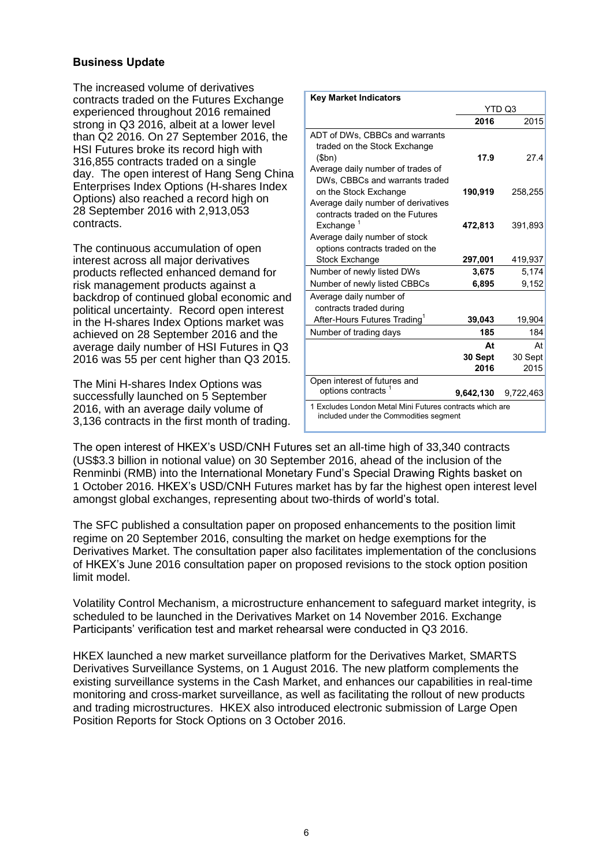#### **Business Update**

The increased volume of derivatives contracts traded on the Futures Exchange experienced throughout 2016 remained strong in Q3 2016, albeit at a lower level than Q2 2016. On 27 September 2016, the HSI Futures broke its record high with 316,855 contracts traded on a single day. The open interest of Hang Seng China Enterprises Index Options (H-shares Index Options) also reached a record high on 28 September 2016 with 2,913,053 contracts.

The continuous accumulation of open interest across all major derivatives products reflected enhanced demand for risk management products against a backdrop of continued global economic and political uncertainty. Record open interest in the H-shares Index Options market was achieved on 28 September 2016 and the average daily number of HSI Futures in Q3 2016 was 55 per cent higher than Q3 2015.

The Mini H-shares Index Options was successfully launched on 5 September 2016, with an average daily volume of 3,136 contracts in the first month of trading.

| <b>Key Market Indicators</b>                                                                       |           |           |  |  |
|----------------------------------------------------------------------------------------------------|-----------|-----------|--|--|
|                                                                                                    |           | YTD Q3    |  |  |
|                                                                                                    | 2016      | 2015      |  |  |
| ADT of DWs, CBBCs and warrants                                                                     |           |           |  |  |
| traded on the Stock Exchange                                                                       |           |           |  |  |
| \$bn)                                                                                              | 17.9      | 27.4      |  |  |
| Average daily number of trades of                                                                  |           |           |  |  |
| DWs, CBBCs and warrants traded                                                                     |           |           |  |  |
| on the Stock Exchange                                                                              | 190,919   | 258,255   |  |  |
| Average daily number of derivatives<br>contracts traded on the Futures                             |           |           |  |  |
| Exchange $1$                                                                                       | 472,813   | 391,893   |  |  |
| Average daily number of stock                                                                      |           |           |  |  |
| options contracts traded on the                                                                    |           |           |  |  |
| <b>Stock Exchange</b>                                                                              | 297,001   | 419,937   |  |  |
| Number of newly listed DWs                                                                         | 3,675     | 5,174     |  |  |
| Number of newly listed CBBCs                                                                       | 6,895     | 9,152     |  |  |
| Average daily number of                                                                            |           |           |  |  |
| contracts traded during                                                                            |           |           |  |  |
| After-Hours Futures Trading <sup>1</sup>                                                           | 39,043    | 19,904    |  |  |
| Number of trading days                                                                             | 185       | 184       |  |  |
|                                                                                                    | At        | At        |  |  |
|                                                                                                    | 30 Sept   | 30 Sept   |  |  |
|                                                                                                    | 2016      | 2015      |  |  |
| Open interest of futures and                                                                       |           |           |  |  |
| options contracts                                                                                  | 9,642,130 | 9,722,463 |  |  |
| 1 Excludes London Metal Mini Futures contracts which are<br>included under the Commodities segment |           |           |  |  |

The open interest of HKEX's USD/CNH Futures set an all-time high of 33,340 contracts (US\$3.3 billion in notional value) on 30 September 2016, ahead of the inclusion of the Renminbi (RMB) into the International Monetary Fund's Special Drawing Rights basket on 1 October 2016. HKEX's USD/CNH Futures market has by far the highest open interest level amongst global exchanges, representing about two-thirds of world's total.

The SFC published a consultation paper on proposed enhancements to the position limit regime on 20 September 2016, consulting the market on hedge exemptions for the Derivatives Market. The consultation paper also facilitates implementation of the conclusions of HKEX's June 2016 consultation paper on proposed revisions to the stock option position limit model.

Volatility Control Mechanism, a microstructure enhancement to safeguard market integrity, is scheduled to be launched in the Derivatives Market on 14 November 2016. Exchange Participants' verification test and market rehearsal were conducted in Q3 2016.

HKEX launched a new market surveillance platform for the Derivatives Market, SMARTS Derivatives Surveillance Systems, on 1 August 2016. The new platform complements the existing surveillance systems in the Cash Market, and enhances our capabilities in real-time monitoring and cross-market surveillance, as well as facilitating the rollout of new products and trading microstructures. HKEX also introduced electronic submission of Large Open Position Reports for Stock Options on 3 October 2016.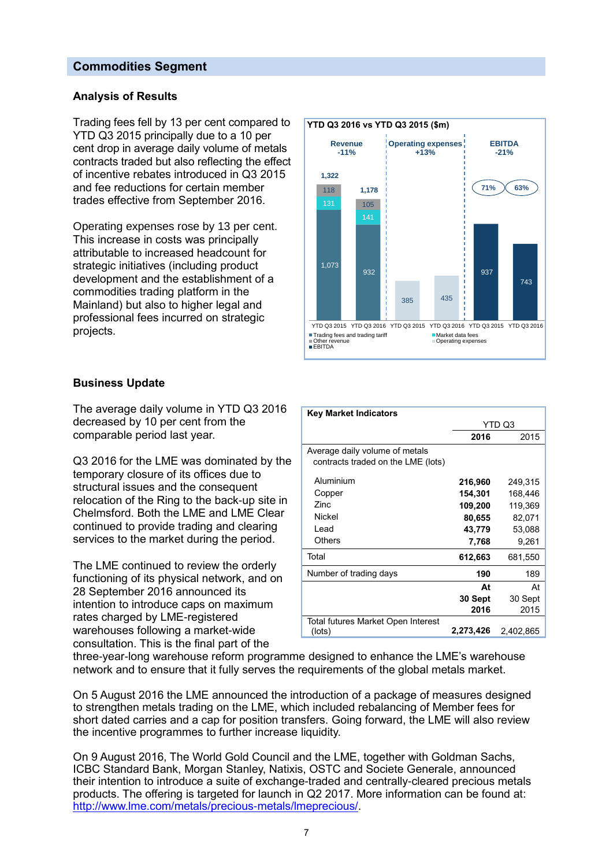#### **Commodities Segment**

#### **Analysis of Results**

Trading fees fell by 13 per cent compared to YTD Q3 2015 principally due to a 10 per cent drop in average daily volume of metals contracts traded but also reflecting the effect of incentive rebates introduced in Q3 2015 and fee reductions for certain member trades effective from September 2016.

Operating expenses rose by 13 per cent. This increase in costs was principally attributable to increased headcount for strategic initiatives (including product development and the establishment of a commodities trading platform in the Mainland) but also to higher legal and professional fees incurred on strategic projects.



The average daily volume in YTD Q3 2016 decreased by 10 per cent from the comparable period last year.

Q3 2016 for the LME was dominated by the temporary closure of its offices due to structural issues and the consequent relocation of the Ring to the back-up site in Chelmsford. Both the LME and LME Clear continued to provide trading and clearing services to the market during the period.

The LME continued to review the orderly functioning of its physical network, and on 28 September 2016 announced its intention to introduce caps on maximum rates charged by LME-registered warehouses following a market-wide consultation. This is the final part of the



| <b>Key Market Indicators</b>                                         |           |           |
|----------------------------------------------------------------------|-----------|-----------|
|                                                                      |           | YTD Q3    |
|                                                                      | 2016      | 2015      |
| Average daily volume of metals<br>contracts traded on the LME (lots) |           |           |
| Aluminium                                                            | 216,960   | 249,315   |
| Copper                                                               | 154,301   | 168,446   |
| Zinc.                                                                | 109,200   | 119,369   |
| Nickel                                                               | 80,655    | 82,071    |
| Lead                                                                 | 43,779    | 53,088    |
| <b>Others</b>                                                        | 7,768     | 9,261     |
| Total                                                                | 612,663   | 681,550   |
| Number of trading days                                               | 190       | 189       |
|                                                                      | At        | At        |
|                                                                      | 30 Sept   | 30 Sept   |
|                                                                      | 2016      | 2015      |
| Total futures Market Open Interest                                   |           |           |
| (lots)                                                               | 2,273,426 | 2.402.865 |

three-year-long [warehouse reform programme](http://www.lme.com/trading/warehousing-and-brands/warehousing/lme-warehouse-reform/) designed to enhance the LME's warehouse network and to ensure that it fully serves the requirements of the global metals market.

On 5 August 2016 the LME announced the introduction of a package of measures designed to strengthen metals trading on the LME, which included rebalancing of Member fees for short dated carries and a cap for position transfers. Going forward, the LME will also review the incentive programmes to further increase liquidity.

On 9 August 2016, The World Gold Council and the LME, together with Goldman Sachs, ICBC Standard Bank, Morgan Stanley, Natixis, OSTC and Societe Generale, announced their intention to introduce a suite of exchange-traded and centrally-cleared precious metals products. The offering is targeted for launch in Q2 2017. More information can be found at: [http://www.lme.com/metals/precious-metals/lmeprecious/.](http://www.lme.com/metals/precious-metals/lmeprecious/)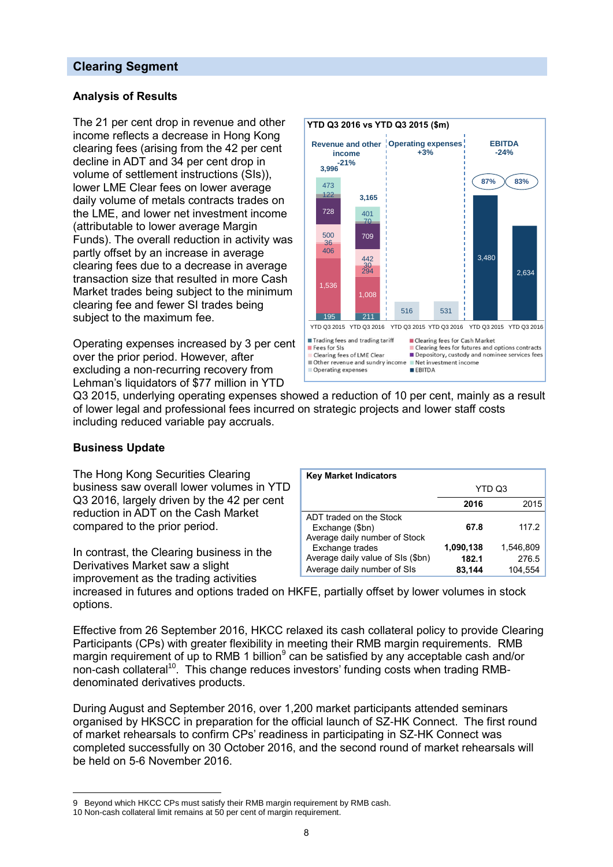#### **Clearing Segment**

#### **Analysis of Results**

The 21 per cent drop in revenue and other income reflects a decrease in Hong Kong clearing fees (arising from the 42 per cent decline in ADT and 34 per cent drop in volume of settlement instructions (SIs)), lower LME Clear fees on lower average daily volume of metals contracts trades on the LME, and lower net investment income (attributable to lower average Margin Funds). The overall reduction in activity was partly offset by an increase in average clearing fees due to a decrease in average transaction size that resulted in more Cash Market trades being subject to the minimum clearing fee and fewer SI trades being subject to the maximum fee.

Operating expenses increased by 3 per cent over the prior period. However, after excluding a non-recurring recovery from Lehman's liquidators of \$77 million in YTD



Q3 2015, underlying operating expenses showed a reduction of 10 per cent, mainly as a result of lower legal and professional fees incurred on strategic projects and lower staff costs including reduced variable pay accruals.

#### **Business Update**

 $\overline{a}$ 

The Hong Kong Securities Clearing business saw overall lower volumes in YTD Q3 2016, largely driven by the 42 per cent reduction in ADT on the Cash Market compared to the prior period.

In contrast, the Clearing business in the Derivatives Market saw a slight improvement as the trading activities

| <b>Key Market Indicators</b>                                                |           |           |
|-----------------------------------------------------------------------------|-----------|-----------|
|                                                                             | YTD Q3    |           |
|                                                                             | 2016      | 2015      |
| ADT traded on the Stock<br>Exchange (\$bn)<br>Average daily number of Stock | 67.8      | 117.2     |
| Exchange trades                                                             | 1,090,138 | 1,546,809 |
| Average daily value of SIs (\$bn)                                           | 182.1     | 276.5     |
| Average daily number of SIs                                                 | 83,144    | 104.554   |

increased in futures and options traded on HKFE, partially offset by lower volumes in stock options.

Effective from 26 September 2016, HKCC relaxed its cash collateral policy to provide Clearing Participants (CPs) with greater flexibility in meeting their RMB margin requirements. RMB margin requirement of up to RMB 1 billion<sup>9</sup> can be satisfied by any acceptable cash and/or non-cash collateral<sup>10</sup>. This change reduces investors' funding costs when trading RMBdenominated derivatives products.

During August and September 2016, over 1,200 market participants attended seminars organised by HKSCC in preparation for the official launch of SZ-HK Connect. The first round of market rehearsals to confirm CPs' readiness in participating in SZ-HK Connect was completed successfully on 30 October 2016, and the second round of market rehearsals will be held on 5-6 November 2016.

<sup>9</sup> Beyond which HKCC CPs must satisfy their RMB margin requirement by RMB cash.

<sup>10</sup> Non-cash collateral limit remains at 50 per cent of margin requirement.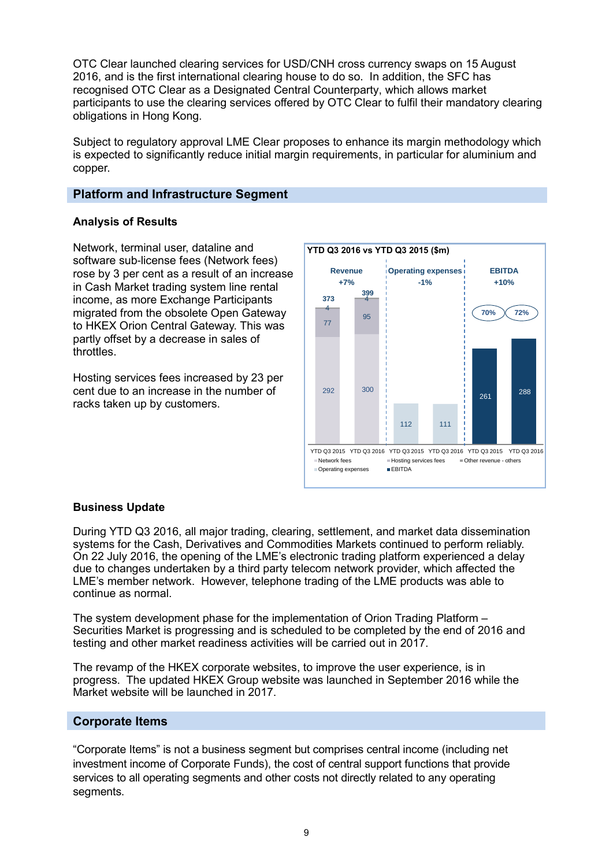OTC Clear launched clearing services for USD/CNH cross currency swaps on 15 August 2016, and is the first international clearing house to do so. In addition, the SFC has recognised OTC Clear as a Designated Central Counterparty, which allows market participants to use the clearing services offered by OTC Clear to fulfil their mandatory clearing obligations in Hong Kong.

Subject to regulatory approval LME Clear proposes to enhance its margin methodology which is expected to significantly reduce initial margin requirements, in particular for aluminium and copper.

#### **Platform and Infrastructure Segment**

#### **Analysis of Results**

Network, terminal user, dataline and software sub-license fees (Network fees) rose by 3 per cent as a result of an increase in Cash Market trading system line rental income, as more Exchange Participants migrated from the obsolete Open Gateway to HKEX Orion Central Gateway. This was partly offset by a decrease in sales of throttles.

Hosting services fees increased by 23 per cent due to an increase in the number of racks taken up by customers.



#### **Business Update**

During YTD Q3 2016, all major trading, clearing, settlement, and market data dissemination systems for the Cash, Derivatives and Commodities Markets continued to perform reliably. On 22 July 2016, the opening of the LME's electronic trading platform experienced a delay due to changes undertaken by a third party telecom network provider, which affected the LME's member network. However, telephone trading of the LME products was able to continue as normal.

The system development phase for the implementation of Orion Trading Platform – Securities Market is progressing and is scheduled to be completed by the end of 2016 and testing and other market readiness activities will be carried out in 2017.

The revamp of the HKEX corporate websites, to improve the user experience, is in progress. The updated HKEX Group website was launched in September 2016 while the Market website will be launched in 2017.

#### **Corporate Items**

"Corporate Items" is not a business segment but comprises central income (including net investment income of Corporate Funds), the cost of central support functions that provide services to all operating segments and other costs not directly related to any operating segments.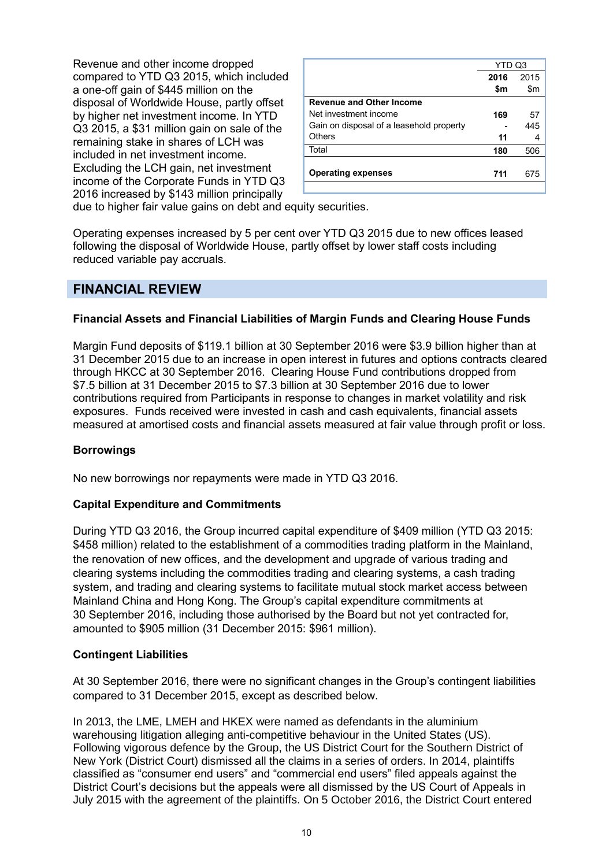Revenue and other income dropped compared to YTD Q3 2015, which included a one-off gain of \$445 million on the disposal of Worldwide House, partly offset by higher net investment income. In YTD Q3 2015, a \$31 million gain on sale of the remaining stake in shares of LCH was included in net investment income. Excluding the LCH gain, net investment income of the Corporate Funds in YTD Q3 2016 increased by \$143 million principally

|                                          | YTD Q3 |      |
|------------------------------------------|--------|------|
|                                          | 2016   | 2015 |
|                                          | \$m    | \$m  |
| <b>Revenue and Other Income</b>          |        |      |
| Net investment income                    | 169    | 57   |
| Gain on disposal of a leasehold property |        | 445  |
| Others                                   | 11     | 4    |
| Total                                    | 180    | 506  |
|                                          |        |      |
| <b>Operating expenses</b>                | 711    | 675  |
|                                          |        |      |

due to higher fair value gains on debt and equity securities.

Operating expenses increased by 5 per cent over YTD Q3 2015 due to new offices leased following the disposal of Worldwide House, partly offset by lower staff costs including reduced variable pay accruals.

### **FINANCIAL REVIEW**

#### **Financial Assets and Financial Liabilities of Margin Funds and Clearing House Funds**

Margin Fund deposits of \$119.1 billion at 30 September 2016 were \$3.9 billion higher than at 31 December 2015 due to an increase in open interest in futures and options contracts cleared through HKCC at 30 September 2016. Clearing House Fund contributions dropped from \$7.5 billion at 31 December 2015 to \$7.3 billion at 30 September 2016 due to lower contributions required from Participants in response to changes in market volatility and risk exposures. Funds received were invested in cash and cash equivalents, financial assets measured at amortised costs and financial assets measured at fair value through profit or loss.

#### **Borrowings**

No new borrowings nor repayments were made in YTD Q3 2016.

#### **Capital Expenditure and Commitments**

During YTD Q3 2016, the Group incurred capital expenditure of \$409 million (YTD Q3 2015: \$458 million) related to the establishment of a commodities trading platform in the Mainland, the renovation of new offices, and the development and upgrade of various trading and clearing systems including the commodities trading and clearing systems, a cash trading system, and trading and clearing systems to facilitate mutual stock market access between Mainland China and Hong Kong. The Group's capital expenditure commitments at 30 September 2016, including those authorised by the Board but not yet contracted for, amounted to \$905 million (31 December 2015: \$961 million).

#### **Contingent Liabilities**

At 30 September 2016, there were no significant changes in the Group's contingent liabilities compared to 31 December 2015, except as described below.

In 2013, the LME, LMEH and HKEX were named as defendants in the aluminium warehousing litigation alleging anti-competitive behaviour in the United States (US). Following vigorous defence by the Group, the US District Court for the Southern District of New York (District Court) dismissed all the claims in a series of orders. In 2014, plaintiffs classified as "consumer end users" and "commercial end users" filed appeals against the District Court's decisions but the appeals were all dismissed by the US Court of Appeals in July 2015 with the agreement of the plaintiffs. On 5 October 2016, the District Court entered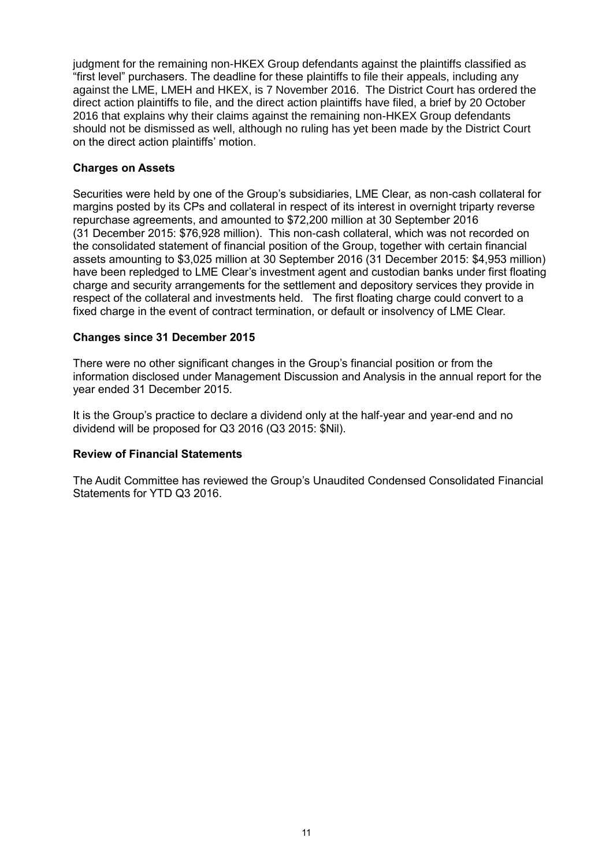judgment for the remaining non-HKEX Group defendants against the plaintiffs classified as "first level" purchasers. The deadline for these plaintiffs to file their appeals, including any against the LME, LMEH and HKEX, is 7 November 2016. The District Court has ordered the direct action plaintiffs to file, and the direct action plaintiffs have filed, a brief by 20 October 2016 that explains why their claims against the remaining non-HKEX Group defendants should not be dismissed as well, although no ruling has yet been made by the District Court on the direct action plaintiffs' motion.

#### **Charges on Assets**

Securities were held by one of the Group's subsidiaries, LME Clear, as non-cash collateral for margins posted by its CPs and collateral in respect of its interest in overnight triparty reverse repurchase agreements, and amounted to \$72,200 million at 30 September 2016 (31 December 2015: \$76,928 million). This non-cash collateral, which was not recorded on the consolidated statement of financial position of the Group, together with certain financial assets amounting to \$3,025 million at 30 September 2016 (31 December 2015: \$4,953 million) have been repledged to LME Clear's investment agent and custodian banks under first floating charge and security arrangements for the settlement and depository services they provide in respect of the collateral and investments held. The first floating charge could convert to a fixed charge in the event of contract termination, or default or insolvency of LME Clear.

#### **Changes since 31 December 2015**

There were no other significant changes in the Group's financial position or from the information disclosed under Management Discussion and Analysis in the annual report for the year ended 31 December 2015.

It is the Group's practice to declare a dividend only at the half-year and year-end and no dividend will be proposed for Q3 2016 (Q3 2015: \$Nil).

#### **Review of Financial Statements**

The Audit Committee has reviewed the Group's Unaudited Condensed Consolidated Financial Statements for YTD Q3 2016.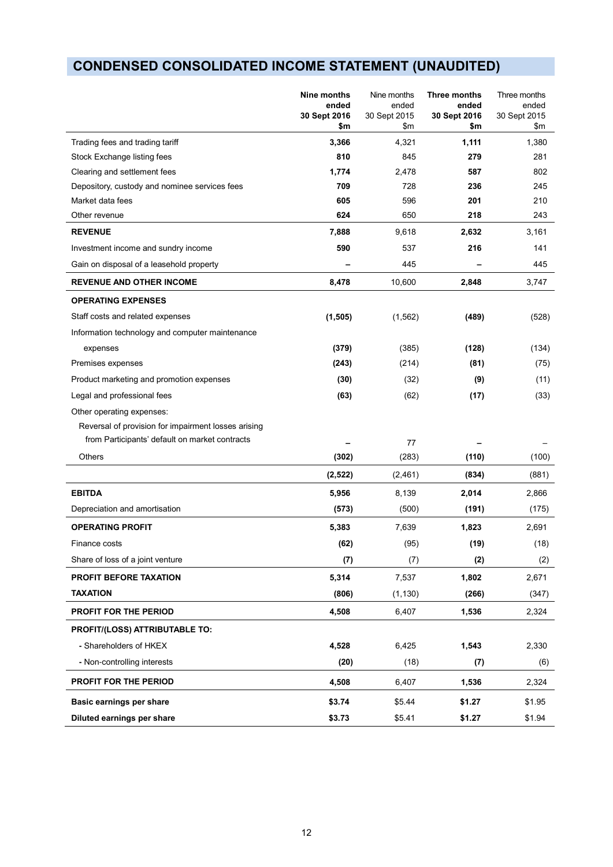# **CONDENSED CONSOLIDATED INCOME STATEMENT (UNAUDITED)**

|                                                     | Nine months<br>ended<br>30 Sept 2016<br>\$m | Nine months<br>ended<br>30 Sept 2015<br>\$m | Three months<br>ended<br>30 Sept 2016<br>\$m | Three months<br>ended<br>30 Sept 2015<br>\$m |
|-----------------------------------------------------|---------------------------------------------|---------------------------------------------|----------------------------------------------|----------------------------------------------|
| Trading fees and trading tariff                     | 3,366                                       | 4,321                                       | 1,111                                        | 1,380                                        |
| Stock Exchange listing fees                         | 810                                         | 845                                         | 279                                          | 281                                          |
| Clearing and settlement fees                        | 1,774                                       | 2,478                                       | 587                                          | 802                                          |
| Depository, custody and nominee services fees       | 709                                         | 728                                         | 236                                          | 245                                          |
| Market data fees                                    | 605                                         | 596                                         | 201                                          | 210                                          |
| Other revenue                                       | 624                                         | 650                                         | 218                                          | 243                                          |
| <b>REVENUE</b>                                      | 7,888                                       | 9,618                                       | 2,632                                        | 3,161                                        |
| Investment income and sundry income                 | 590                                         | 537                                         | 216                                          | 141                                          |
| Gain on disposal of a leasehold property            |                                             | 445                                         |                                              | 445                                          |
| <b>REVENUE AND OTHER INCOME</b>                     | 8,478                                       | 10,600                                      | 2,848                                        | 3,747                                        |
| <b>OPERATING EXPENSES</b>                           |                                             |                                             |                                              |                                              |
| Staff costs and related expenses                    | (1, 505)                                    | (1, 562)                                    | (489)                                        | (528)                                        |
| Information technology and computer maintenance     |                                             |                                             |                                              |                                              |
| expenses                                            | (379)                                       | (385)                                       | (128)                                        | (134)                                        |
| Premises expenses                                   | (243)                                       | (214)                                       | (81)                                         | (75)                                         |
| Product marketing and promotion expenses            | (30)                                        | (32)                                        | (9)                                          | (11)                                         |
| Legal and professional fees                         | (63)                                        | (62)                                        | (17)                                         | (33)                                         |
| Other operating expenses:                           |                                             |                                             |                                              |                                              |
| Reversal of provision for impairment losses arising |                                             |                                             |                                              |                                              |
| from Participants' default on market contracts      |                                             | 77                                          |                                              |                                              |
| Others                                              | (302)                                       | (283)                                       | (110)                                        | (100)                                        |
|                                                     | (2,522)                                     | (2, 461)                                    | (834)                                        | (881)                                        |
| <b>EBITDA</b>                                       | 5,956                                       | 8,139                                       | 2,014                                        | 2,866                                        |
| Depreciation and amortisation                       | (573)                                       | (500)                                       | (191)                                        | (175)                                        |
| <b>OPERATING PROFIT</b>                             | 5,383                                       | 7,639                                       | 1,823                                        | 2,691                                        |
| Finance costs                                       | (62)                                        | (95)                                        | (19)                                         | (18)                                         |
| Share of loss of a joint venture                    | (7)                                         | (7)                                         | (2)                                          | (2)                                          |
| PROFIT BEFORE TAXATION                              | 5,314                                       | 7,537                                       | 1,802                                        | 2,671                                        |
| <b>TAXATION</b>                                     | (806)                                       | (1, 130)                                    | (266)                                        | (347)                                        |
| PROFIT FOR THE PERIOD                               | 4,508                                       | 6,407                                       | 1,536                                        | 2,324                                        |
| PROFIT/(LOSS) ATTRIBUTABLE TO:                      |                                             |                                             |                                              |                                              |
| - Shareholders of HKEX                              | 4,528                                       | 6,425                                       | 1,543                                        | 2,330                                        |
| - Non-controlling interests                         | (20)                                        | (18)                                        | (7)                                          | (6)                                          |
| PROFIT FOR THE PERIOD                               | 4,508                                       | 6,407                                       | 1,536                                        | 2,324                                        |
| Basic earnings per share                            | \$3.74                                      | \$5.44                                      | \$1.27                                       | \$1.95                                       |
| Diluted earnings per share                          | \$3.73                                      | \$5.41                                      | \$1.27                                       | \$1.94                                       |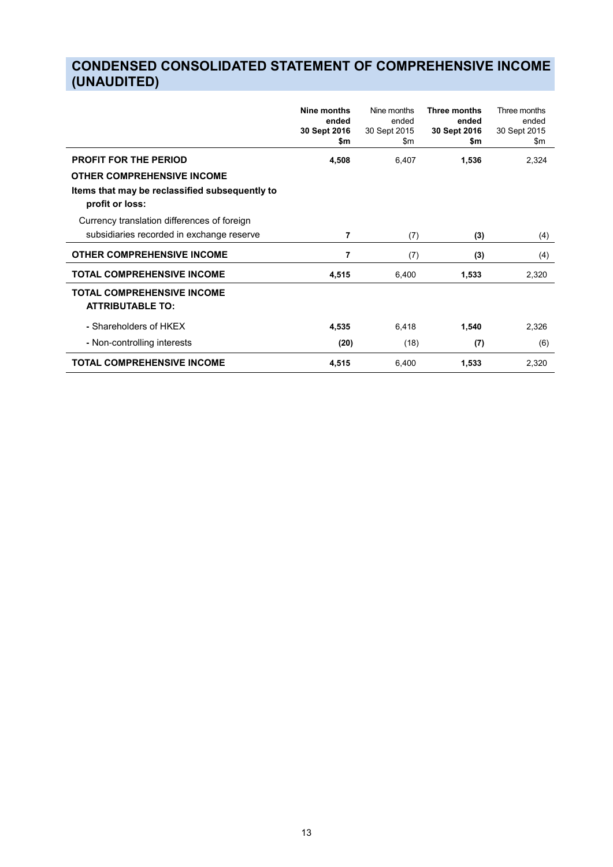# **CONDENSED CONSOLIDATED STATEMENT OF COMPREHENSIVE INCOME (UNAUDITED)**

|                                                                   | Nine months<br>ended | Nine months<br>ended | Three months<br>ended | Three months<br>ended |
|-------------------------------------------------------------------|----------------------|----------------------|-----------------------|-----------------------|
|                                                                   | 30 Sept 2016<br>\$m  | 30 Sept 2015<br>\$m  | 30 Sept 2016<br>\$m   | 30 Sept 2015<br>\$m   |
| <b>PROFIT FOR THE PERIOD</b>                                      | 4,508                | 6,407                | 1,536                 | 2,324                 |
| <b>OTHER COMPREHENSIVE INCOME</b>                                 |                      |                      |                       |                       |
| Items that may be reclassified subsequently to<br>profit or loss: |                      |                      |                       |                       |
| Currency translation differences of foreign                       |                      |                      |                       |                       |
| subsidiaries recorded in exchange reserve                         | 7                    | (7)                  | (3)                   | (4)                   |
| <b>OTHER COMPREHENSIVE INCOME</b>                                 | 7                    | (7)                  | (3)                   | (4)                   |
| <b>TOTAL COMPREHENSIVE INCOME</b>                                 | 4,515                | 6,400                | 1,533                 | 2,320                 |
| <b>TOTAL COMPREHENSIVE INCOME</b><br><b>ATTRIBUTABLE TO:</b>      |                      |                      |                       |                       |
| - Shareholders of HKEX                                            | 4,535                | 6,418                | 1,540                 | 2,326                 |
| - Non-controlling interests                                       | (20)                 | (18)                 | (7)                   | (6)                   |
| <b>TOTAL COMPREHENSIVE INCOME</b>                                 | 4,515                | 6,400                | 1,533                 | 2,320                 |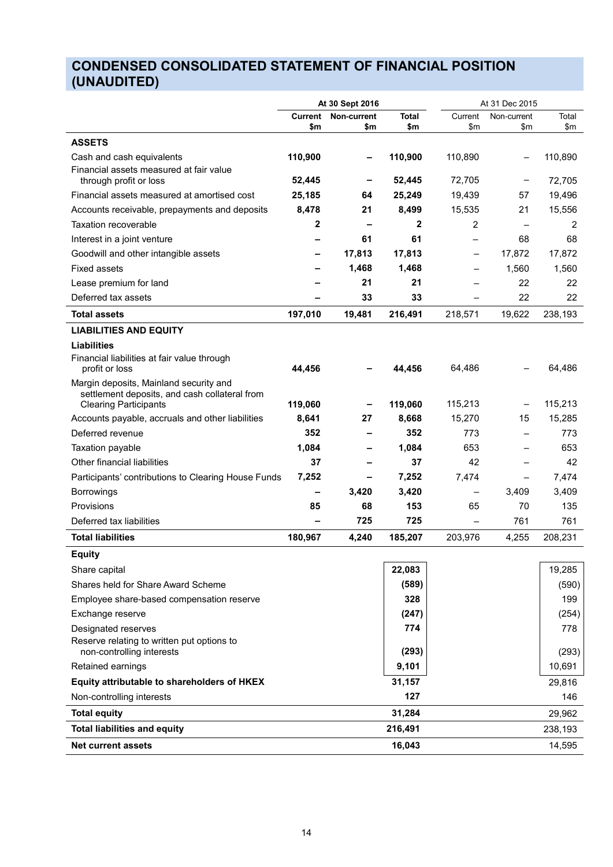# **CONDENSED CONSOLIDATED STATEMENT OF FINANCIAL POSITION (UNAUDITED)**

|                                                                                         |                       | At 31 Dec 2015<br>At 30 Sept 2016 |              |                          |                    |              |
|-----------------------------------------------------------------------------------------|-----------------------|-----------------------------------|--------------|--------------------------|--------------------|--------------|
|                                                                                         | <b>Current</b><br>\$m | Non-current<br>\$m                | Total<br>\$m | Current<br>\$m           | Non-current<br>\$m | Total<br>\$m |
| <b>ASSETS</b>                                                                           |                       |                                   |              |                          |                    |              |
|                                                                                         | 110,900               |                                   | 110,900      | 110,890                  |                    | 110,890      |
| Cash and cash equivalents<br>Financial assets measured at fair value                    |                       |                                   |              |                          |                    |              |
| through profit or loss                                                                  | 52,445                |                                   | 52,445       | 72,705                   |                    | 72,705       |
| Financial assets measured at amortised cost                                             | 25,185                | 64                                | 25,249       | 19,439                   | 57                 | 19,496       |
| Accounts receivable, prepayments and deposits                                           | 8,478                 | 21                                | 8,499        | 15,535                   | 21                 | 15,556       |
| Taxation recoverable                                                                    | 2                     |                                   | $\mathbf{2}$ | $\overline{2}$           |                    | 2            |
| Interest in a joint venture                                                             |                       | 61                                | 61           |                          | 68                 | 68           |
| Goodwill and other intangible assets                                                    |                       | 17,813                            | 17,813       | -                        | 17,872             | 17,872       |
| <b>Fixed assets</b>                                                                     |                       | 1,468                             | 1,468        |                          | 1,560              | 1,560        |
| Lease premium for land                                                                  |                       | 21                                | 21           |                          | 22                 | 22           |
| Deferred tax assets                                                                     |                       | 33                                | 33           | $\overline{\phantom{0}}$ | 22                 | 22           |
| <b>Total assets</b>                                                                     | 197,010               | 19,481                            | 216,491      | 218,571                  | 19,622             | 238,193      |
| <b>LIABILITIES AND EQUITY</b>                                                           |                       |                                   |              |                          |                    |              |
| <b>Liabilities</b>                                                                      |                       |                                   |              |                          |                    |              |
| Financial liabilities at fair value through                                             |                       |                                   |              |                          |                    |              |
| profit or loss                                                                          | 44,456                |                                   | 44,456       | 64,486                   |                    | 64,486       |
| Margin deposits, Mainland security and<br>settlement deposits, and cash collateral from |                       |                                   |              |                          |                    |              |
| <b>Clearing Participants</b>                                                            | 119,060               |                                   | 119,060      | 115,213                  |                    | 115,213      |
| Accounts payable, accruals and other liabilities                                        | 8,641                 | 27                                | 8,668        | 15,270                   | 15                 | 15,285       |
| Deferred revenue                                                                        | 352                   |                                   | 352          | 773                      |                    | 773          |
| Taxation payable                                                                        | 1,084                 |                                   | 1,084        | 653                      |                    | 653          |
| Other financial liabilities                                                             | 37                    |                                   | 37           | 42                       |                    | 42           |
| Participants' contributions to Clearing House Funds                                     | 7,252                 |                                   | 7,252        | 7,474                    | —                  | 7,474        |
| <b>Borrowings</b>                                                                       | -                     | 3,420                             | 3,420        | $\qquad \qquad -$        | 3,409              | 3,409        |
| Provisions                                                                              | 85                    | 68                                | 153          | 65                       | 70                 | 135          |
| Deferred tax liabilities                                                                |                       | 725                               | 725          |                          | 761                | 761          |
| <b>Total liabilities</b>                                                                | 180,967               | 4,240                             | 185,207      | 203,976                  | 4,255              | 208,231      |
| <b>Equity</b>                                                                           |                       |                                   |              |                          |                    |              |
| Share capital                                                                           |                       |                                   | 22,083       |                          |                    | 19,285       |
| Shares held for Share Award Scheme                                                      |                       |                                   | (589)        |                          |                    | (590)        |
| Employee share-based compensation reserve                                               |                       |                                   | 328          |                          |                    | 199          |
| Exchange reserve                                                                        |                       |                                   | (247)        |                          |                    | (254)        |
| Designated reserves                                                                     |                       |                                   | 774          |                          |                    | 778          |
| Reserve relating to written put options to                                              |                       |                                   |              |                          |                    |              |
| non-controlling interests                                                               |                       |                                   | (293)        |                          |                    | (293)        |
| Retained earnings                                                                       |                       |                                   | 9,101        |                          |                    | 10,691       |
| Equity attributable to shareholders of HKEX                                             |                       |                                   | 31,157       |                          |                    | 29,816       |
| Non-controlling interests                                                               |                       |                                   | 127          |                          |                    | 146          |
| <b>Total equity</b>                                                                     |                       |                                   | 31,284       |                          |                    | 29,962       |
| <b>Total liabilities and equity</b>                                                     |                       |                                   | 216,491      |                          |                    | 238,193      |
| <b>Net current assets</b>                                                               |                       |                                   | 16,043       |                          |                    | 14,595       |